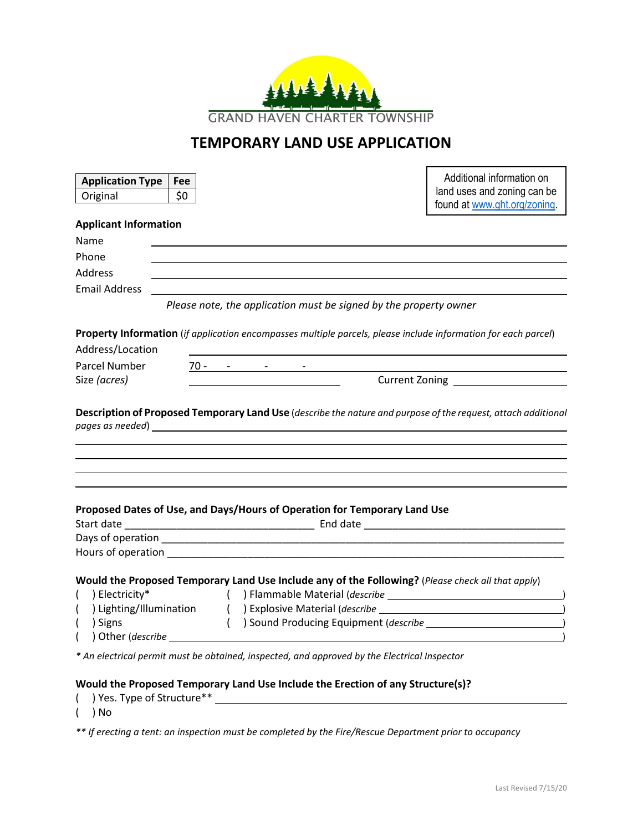

## **TEMPORARY LAND USE APPLICATION**

| <b>Application Type</b>      | Fee |                                                            |                                                                                                                                                                                                                                     | Additional information on                                                                                      |
|------------------------------|-----|------------------------------------------------------------|-------------------------------------------------------------------------------------------------------------------------------------------------------------------------------------------------------------------------------------|----------------------------------------------------------------------------------------------------------------|
| Original                     | \$0 |                                                            |                                                                                                                                                                                                                                     | land uses and zoning can be                                                                                    |
|                              |     |                                                            |                                                                                                                                                                                                                                     | found at www.ght.org/zoning.                                                                                   |
| <b>Applicant Information</b> |     |                                                            |                                                                                                                                                                                                                                     |                                                                                                                |
| Name                         |     |                                                            |                                                                                                                                                                                                                                     |                                                                                                                |
| Phone                        |     |                                                            |                                                                                                                                                                                                                                     |                                                                                                                |
| <b>Address</b>               |     |                                                            |                                                                                                                                                                                                                                     |                                                                                                                |
| <b>Email Address</b>         |     |                                                            |                                                                                                                                                                                                                                     |                                                                                                                |
|                              |     |                                                            | Please note, the application must be signed by the property owner                                                                                                                                                                   |                                                                                                                |
|                              |     |                                                            |                                                                                                                                                                                                                                     | Property Information (if application encompasses multiple parcels, please include information for each parcel) |
| Address/Location             |     |                                                            |                                                                                                                                                                                                                                     |                                                                                                                |
| Parcel Number                |     |                                                            |                                                                                                                                                                                                                                     |                                                                                                                |
| Size (acres)                 |     | $70 - 70 - 70 = 70$<br>Current Zoning <b>Exercise 2018</b> |                                                                                                                                                                                                                                     |                                                                                                                |
|                              |     |                                                            |                                                                                                                                                                                                                                     | Description of Proposed Temporary Land Use (describe the nature and purpose of the request, attach additional  |
|                              |     |                                                            |                                                                                                                                                                                                                                     |                                                                                                                |
|                              |     |                                                            | Proposed Dates of Use, and Days/Hours of Operation for Temporary Land Use                                                                                                                                                           |                                                                                                                |
|                              |     |                                                            |                                                                                                                                                                                                                                     |                                                                                                                |
|                              |     |                                                            | Hours of operation <b>Executive Services</b> and the service of the service of the service of the service of the service of the service of the service of the service of the service of the service of the service of the service o |                                                                                                                |
|                              |     |                                                            |                                                                                                                                                                                                                                     |                                                                                                                |
| ) Electricity*               |     |                                                            |                                                                                                                                                                                                                                     | Would the Proposed Temporary Land Use Include any of the Following? (Please check all that apply)              |
|                              |     |                                                            |                                                                                                                                                                                                                                     |                                                                                                                |
| ) Signs<br>$\overline{ }$    |     |                                                            |                                                                                                                                                                                                                                     | () Sound Producing Equipment ( <i>describe</i> 1997)                                                           |
|                              |     |                                                            |                                                                                                                                                                                                                                     |                                                                                                                |
|                              |     |                                                            |                                                                                                                                                                                                                                     |                                                                                                                |
|                              |     |                                                            | * An electrical permit must be obtained, inspected, and approved by the Electrical Inspector                                                                                                                                        |                                                                                                                |
|                              |     |                                                            |                                                                                                                                                                                                                                     |                                                                                                                |
|                              |     |                                                            | Would the Proposed Temporary Land Use Include the Erection of any Structure(s)?                                                                                                                                                     |                                                                                                                |

( ) No *\*\* If erecting a tent: an inspection must be completed by the Fire/Rescue Department prior to occupancy*

( ) Yes. Type of Structure\*\*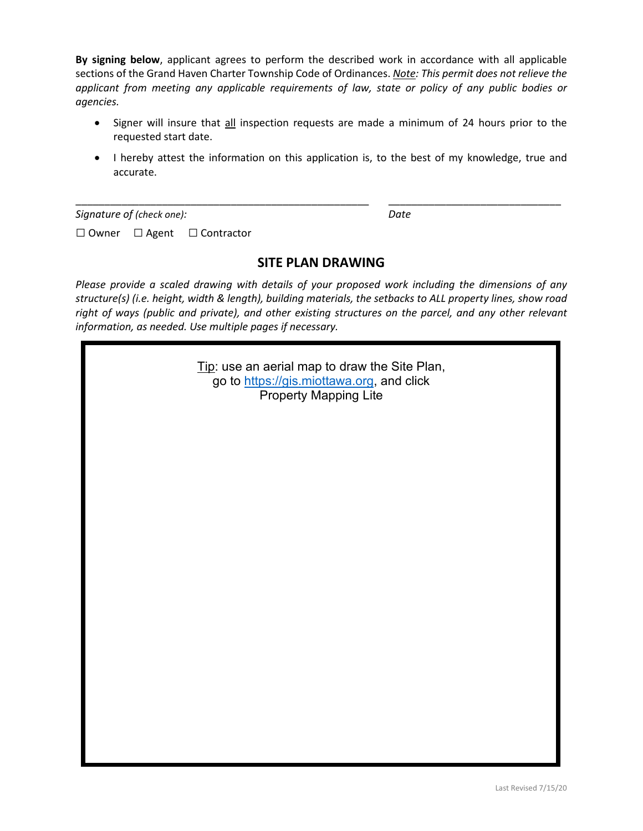**By signing below**, applicant agrees to perform the described work in accordance with all applicable sections of the Grand Haven Charter Township Code of Ordinances. *Note: This permit does not relieve the applicant from meeting any applicable requirements of law, state or policy of any public bodies or agencies.*

- Signer will insure that all inspection requests are made a minimum of 24 hours prior to the requested start date.
- I hereby attest the information on this application is, to the best of my knowledge, true and accurate.

*Signature of (check one): Date*

□ Owner □ Agent □Contractor

## **SITE PLAN DRAWING**

\_\_\_\_\_\_\_\_\_\_\_\_\_\_\_\_\_\_\_\_\_\_\_\_\_\_\_\_\_\_\_\_\_\_\_\_\_\_\_\_\_\_\_\_\_\_\_\_\_\_\_ \_\_\_\_\_\_\_\_\_\_\_\_\_\_\_\_\_\_\_\_\_\_\_\_\_\_\_\_\_\_

*Please provide a scaled drawing with details of your proposed work including the dimensions of any structure(s) (i.e. height, width & length), building materials, the setbacks to ALL property lines, show road right of ways (public and private), and other existing structures on the parcel, and any other relevant information, as needed. Use multiple pages if necessary.*

> Tip: use an aerial map to draw the Site Plan, go to [https://gis.miottawa.org,](https://gis.miottawa.org/) and click Property Mapping Lite